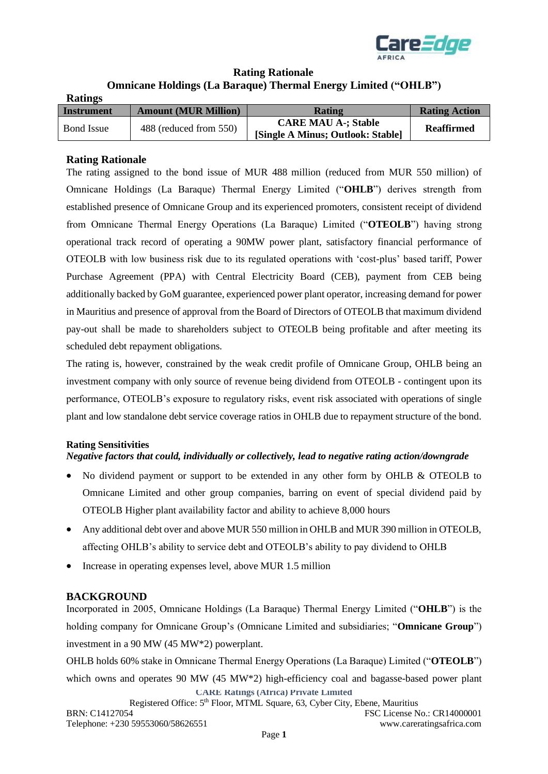

# **Rating Rationale Omnicane Holdings (La Baraque) Thermal Energy Limited ("OHLB")**

| <b>Ratings</b>    |                             |                                                                 |                      |
|-------------------|-----------------------------|-----------------------------------------------------------------|----------------------|
| <b>Instrument</b> | <b>Amount (MUR Million)</b> | <b>Rating</b>                                                   | <b>Rating Action</b> |
| <b>Bond</b> Issue | 488 (reduced from 550)      | <b>CARE MAU A-; Stable</b><br>[Single A Minus; Outlook: Stable] | <b>Reaffirmed</b>    |

## **Rating Rationale**

The rating assigned to the bond issue of MUR 488 million (reduced from MUR 550 million) of Omnicane Holdings (La Baraque) Thermal Energy Limited ("**OHLB**") derives strength from established presence of Omnicane Group and its experienced promoters, consistent receipt of dividend from Omnicane Thermal Energy Operations (La Baraque) Limited ("**OTEOLB**") having strong operational track record of operating a 90MW power plant, satisfactory financial performance of OTEOLB with low business risk due to its regulated operations with 'cost-plus' based tariff, Power Purchase Agreement (PPA) with Central Electricity Board (CEB), payment from CEB being additionally backed by GoM guarantee, experienced power plant operator, increasing demand for power in Mauritius and presence of approval from the Board of Directors of OTEOLB that maximum dividend pay-out shall be made to shareholders subject to OTEOLB being profitable and after meeting its scheduled debt repayment obligations.

The rating is, however, constrained by the weak credit profile of Omnicane Group, OHLB being an investment company with only source of revenue being dividend from OTEOLB - contingent upon its performance, OTEOLB's exposure to regulatory risks, event risk associated with operations of single plant and low standalone debt service coverage ratios in OHLB due to repayment structure of the bond.

## **Rating Sensitivities**

## *Negative factors that could, individually or collectively, lead to negative rating action/downgrade*

- No dividend payment or support to be extended in any other form by OHLB & OTEOLB to Omnicane Limited and other group companies, barring on event of special dividend paid by OTEOLB Higher plant availability factor and ability to achieve 8,000 hours
- Any additional debt over and above MUR 550 million in OHLB and MUR 390 million in OTEOLB, affecting OHLB's ability to service debt and OTEOLB's ability to pay dividend to OHLB
- Increase in operating expenses level, above MUR 1.5 million

## **BACKGROUND**

Incorporated in 2005, Omnicane Holdings (La Baraque) Thermal Energy Limited ("**OHLB**") is the holding company for Omnicane Group's (Omnicane Limited and subsidiaries; "**Omnicane Group**") investment in a 90 MW (45 MW\*2) powerplant.

**CARE Ratings (Africa) Private Limited** OHLB holds 60% stake in Omnicane Thermal Energy Operations (La Baraque) Limited ("**OTEOLB**") which owns and operates 90 MW (45 MW\*2) high-efficiency coal and bagasse-based power plant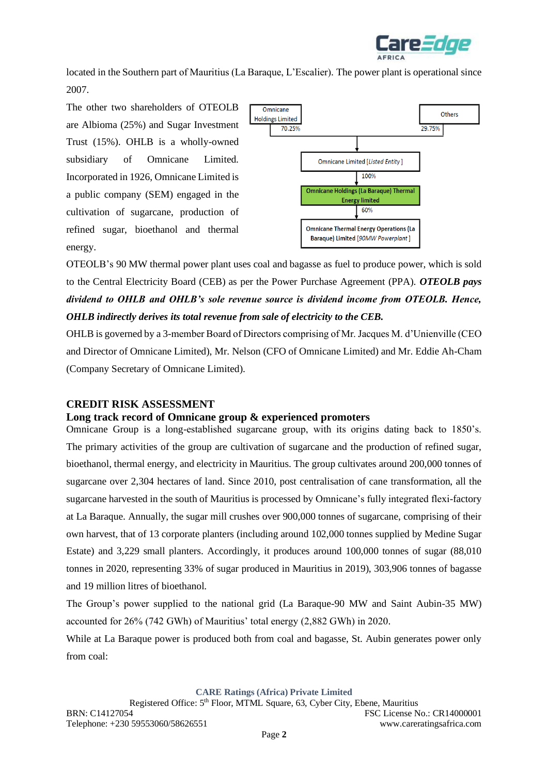

located in the Southern part of Mauritius (La Baraque, L'Escalier). The power plant is operational since 2007.

The other two shareholders of OTEOLB are Albioma (25%) and Sugar Investment Trust (15%). OHLB is a wholly-owned subsidiary of Omnicane Limited. Incorporated in 1926, Omnicane Limited is a public company (SEM) engaged in the cultivation of sugarcane, production of refined sugar, bioethanol and thermal energy.



OTEOLB's 90 MW thermal power plant uses coal and bagasse as fuel to produce power, which is sold to the Central Electricity Board (CEB) as per the Power Purchase Agreement (PPA). *OTEOLB pays dividend to OHLB and OHLB's sole revenue source is dividend income from OTEOLB. Hence, OHLB indirectly derives its total revenue from sale of electricity to the CEB.*

OHLB is governed by a 3-member Board of Directors comprising of Mr. Jacques M. d'Unienville (CEO and Director of Omnicane Limited), Mr. Nelson (CFO of Omnicane Limited) and Mr. Eddie Ah-Cham (Company Secretary of Omnicane Limited).

## **CREDIT RISK ASSESSMENT**

## **Long track record of Omnicane group & experienced promoters**

Omnicane Group is a long-established sugarcane group, with its origins dating back to 1850's. The primary activities of the group are cultivation of sugarcane and the production of refined sugar, bioethanol, thermal energy, and electricity in Mauritius. The group cultivates around 200,000 tonnes of sugarcane over 2,304 hectares of land. Since 2010, post centralisation of cane transformation, all the sugarcane harvested in the south of Mauritius is processed by Omnicane's fully integrated flexi-factory at La Baraque. Annually, the sugar mill crushes over 900,000 tonnes of sugarcane, comprising of their own harvest, that of 13 corporate planters (including around 102,000 tonnes supplied by Medine Sugar Estate) and 3,229 small planters. Accordingly, it produces around 100,000 tonnes of sugar (88,010 tonnes in 2020, representing 33% of sugar produced in Mauritius in 2019), 303,906 tonnes of bagasse and 19 million litres of bioethanol.

The Group's power supplied to the national grid (La Baraque-90 MW and Saint Aubin-35 MW) accounted for 26% (742 GWh) of Mauritius' total energy (2,882 GWh) in 2020.

While at La Baraque power is produced both from coal and bagasse, St. Aubin generates power only from coal: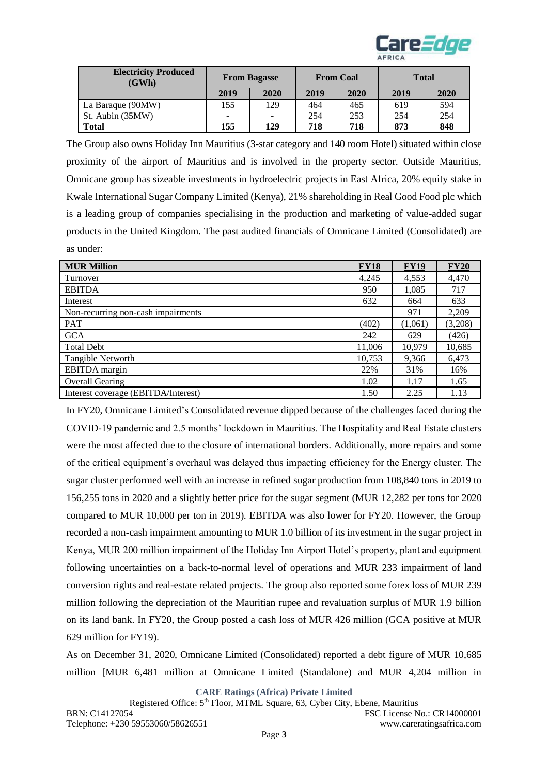

| <b>Electricity Produced</b><br>(GWh) | <b>From Bagasse</b>      |      |      | <b>From Coal</b> | <b>Total</b> |      |  |
|--------------------------------------|--------------------------|------|------|------------------|--------------|------|--|
|                                      | 2019                     | 2020 | 2019 | 2020             | 2019         | 2020 |  |
| La Baraque (90MW)                    | 155                      | 129  | 464  | 465              | 619          | 594  |  |
| St. Aubin (35MW)                     | $\overline{\phantom{0}}$ |      | 254  | 253              | 254          | 254  |  |
| <b>Total</b>                         | 155                      | 129  | 718  | 718              | 873          | 848  |  |

The Group also owns Holiday Inn Mauritius (3-star category and 140 room Hotel) situated within close proximity of the airport of Mauritius and is involved in the property sector. Outside Mauritius, Omnicane group has sizeable investments in hydroelectric projects in East Africa, 20% equity stake in Kwale International Sugar Company Limited (Kenya), 21% shareholding in Real Good Food plc which is a leading group of companies specialising in the production and marketing of value-added sugar products in the United Kingdom. The past audited financials of Omnicane Limited (Consolidated) are as under:

| <b>MUR Million</b>                  | <b>FY18</b> | <b>FY19</b> | <b>FY20</b> |
|-------------------------------------|-------------|-------------|-------------|
| Turnover                            | 4,245       | 4,553       | 4,470       |
| <b>EBITDA</b>                       | 950         | 1,085       | 717         |
| Interest                            | 632         | 664         | 633         |
| Non-recurring non-cash impairments  |             | 971         | 2,209       |
| <b>PAT</b>                          | (402)       | (1,061)     | (3,208)     |
| <b>GCA</b>                          | 242         | 629         | (426)       |
| <b>Total Debt</b>                   | 11,006      | 10,979      | 10,685      |
| Tangible Networth                   | 10,753      | 9,366       | 6,473       |
| EBITDA margin                       | 22%         | 31%         | 16%         |
| <b>Overall Gearing</b>              | 1.02        | 1.17        | 1.65        |
| Interest coverage (EBITDA/Interest) | 1.50        | 2.25        | 1.13        |

In FY20, Omnicane Limited's Consolidated revenue dipped because of the challenges faced during the COVID-19 pandemic and 2.5 months' lockdown in Mauritius. The Hospitality and Real Estate clusters were the most affected due to the closure of international borders. Additionally, more repairs and some of the critical equipment's overhaul was delayed thus impacting efficiency for the Energy cluster. The sugar cluster performed well with an increase in refined sugar production from 108,840 tons in 2019 to 156,255 tons in 2020 and a slightly better price for the sugar segment (MUR 12,282 per tons for 2020 compared to MUR 10,000 per ton in 2019). EBITDA was also lower for FY20. However, the Group recorded a non-cash impairment amounting to MUR 1.0 billion of its investment in the sugar project in Kenya, MUR 200 million impairment of the Holiday Inn Airport Hotel's property, plant and equipment following uncertainties on a back-to-normal level of operations and MUR 233 impairment of land conversion rights and real-estate related projects. The group also reported some forex loss of MUR 239 million following the depreciation of the Mauritian rupee and revaluation surplus of MUR 1.9 billion on its land bank. In FY20, the Group posted a cash loss of MUR 426 million (GCA positive at MUR 629 million for FY19).

As on December 31, 2020, Omnicane Limited (Consolidated) reported a debt figure of MUR 10,685 million [MUR 6,481 million at Omnicane Limited (Standalone) and MUR 4,204 million in

**CARE Ratings (Africa) Private Limited**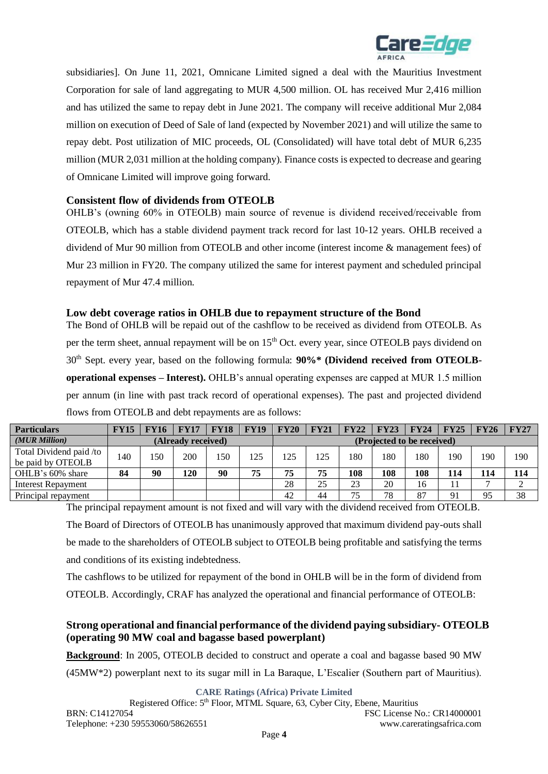

subsidiaries]. On June 11, 2021, Omnicane Limited signed a deal with the Mauritius Investment Corporation for sale of land aggregating to MUR 4,500 million. OL has received Mur 2,416 million and has utilized the same to repay debt in June 2021. The company will receive additional Mur 2,084 million on execution of Deed of Sale of land (expected by November 2021) and will utilize the same to repay debt. Post utilization of MIC proceeds, OL (Consolidated) will have total debt of MUR 6,235 million (MUR 2,031 million at the holding company). Finance costs is expected to decrease and gearing of Omnicane Limited will improve going forward.

## **Consistent flow of dividends from OTEOLB**

OHLB's (owning 60% in OTEOLB) main source of revenue is dividend received/receivable from OTEOLB, which has a stable dividend payment track record for last 10-12 years. OHLB received a dividend of Mur 90 million from OTEOLB and other income (interest income & management fees) of Mur 23 million in FY20. The company utilized the same for interest payment and scheduled principal repayment of Mur 47.4 million.

## **Low debt coverage ratios in OHLB due to repayment structure of the Bond**

The Bond of OHLB will be repaid out of the cashflow to be received as dividend from OTEOLB. As per the term sheet, annual repayment will be on 15<sup>th</sup> Oct. every year, since OTEOLB pays dividend on 30th Sept. every year, based on the following formula: **90%\* (Dividend received from OTEOLBoperational expenses – Interest).** OHLB's annual operating expenses are capped at MUR 1.5 million per annum (in line with past track record of operational expenses). The past and projected dividend flows from OTEOLB and debt repayments are as follows:

| <b>Particulars</b>      | <b>FY15</b> | <b>FY16</b> | <b>FY17</b>        | <b>FY18</b> | <b>FY19</b> | <b>FY20</b> | <b>FY21</b> | <b>FY22</b> | FY23 | FY24                       | FY25 | <b>FY26</b> | FY27 |
|-------------------------|-------------|-------------|--------------------|-------------|-------------|-------------|-------------|-------------|------|----------------------------|------|-------------|------|
| (MUR Million)           |             |             | (Already received) |             |             |             |             |             |      | (Projected to be received) |      |             |      |
| Total Dividend paid /to | 140         | 150         | 200                | 150         | 125         | 125         | 125         | 180         | 180  | 180                        | 190  | 190         | 190  |
| be paid by OTEOLB       |             |             |                    |             |             |             |             |             |      |                            |      |             |      |
| OHLB's 60% share        | 84          | 90          | 120                | 90          | 75          | 75          | 75          | 108         | 108  | 108                        | 114  | 114         | 114  |
| Interest Repayment      |             |             |                    |             |             | 28          | 25          | 23          | 20   | 16                         |      |             |      |
| Principal repayment     |             |             |                    |             |             | 42          | 44          | 75          | 78   | 87                         | 91   | 95          | 38   |

The principal repayment amount is not fixed and will vary with the dividend received from OTEOLB. The Board of Directors of OTEOLB has unanimously approved that maximum dividend pay-outs shall be made to the shareholders of OTEOLB subject to OTEOLB being profitable and satisfying the terms and conditions of its existing indebtedness.

The cashflows to be utilized for repayment of the bond in OHLB will be in the form of dividend from OTEOLB. Accordingly, CRAF has analyzed the operational and financial performance of OTEOLB:

# **Strong operational and financial performance of the dividend paying subsidiary- OTEOLB (operating 90 MW coal and bagasse based powerplant)**

**Background**: In 2005, OTEOLB decided to construct and operate a coal and bagasse based 90 MW

(45MW\*2) powerplant next to its sugar mill in La Baraque, L'Escalier (Southern part of Mauritius).

**CARE Ratings (Africa) Private Limited**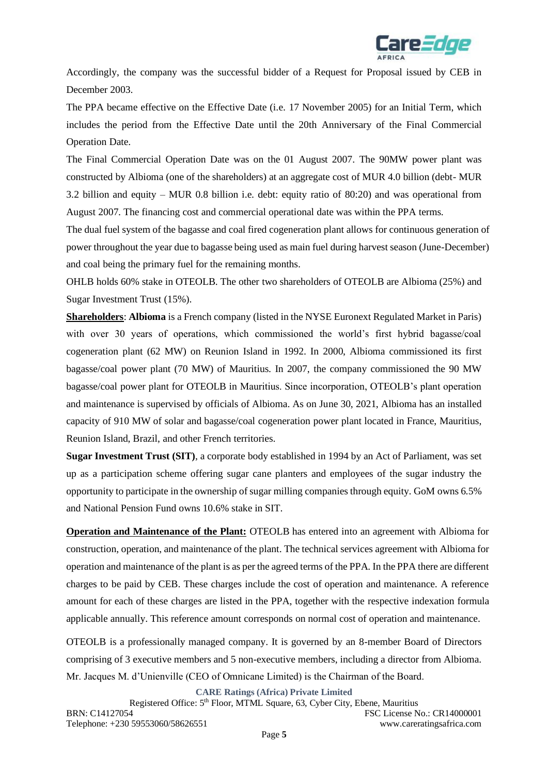

Accordingly, the company was the successful bidder of a Request for Proposal issued by CEB in December 2003.

The PPA became effective on the Effective Date (i.e. 17 November 2005) for an Initial Term, which includes the period from the Effective Date until the 20th Anniversary of the Final Commercial Operation Date.

The Final Commercial Operation Date was on the 01 August 2007. The 90MW power plant was constructed by Albioma (one of the shareholders) at an aggregate cost of MUR 4.0 billion (debt- MUR 3.2 billion and equity – MUR 0.8 billion i.e. debt: equity ratio of 80:20) and was operational from August 2007. The financing cost and commercial operational date was within the PPA terms.

The dual fuel system of the bagasse and coal fired cogeneration plant allows for continuous generation of power throughout the year due to bagasse being used as main fuel during harvest season (June-December) and coal being the primary fuel for the remaining months.

OHLB holds 60% stake in OTEOLB. The other two shareholders of OTEOLB are Albioma (25%) and Sugar Investment Trust (15%).

**Shareholders**: **Albioma** is a French company (listed in the NYSE Euronext Regulated Market in Paris) with over 30 years of operations, which commissioned the world's first hybrid bagasse/coal cogeneration plant (62 MW) on Reunion Island in 1992. In 2000, Albioma commissioned its first bagasse/coal power plant (70 MW) of Mauritius. In 2007, the company commissioned the 90 MW bagasse/coal power plant for OTEOLB in Mauritius. Since incorporation, OTEOLB's plant operation and maintenance is supervised by officials of Albioma. As on June 30, 2021, Albioma has an installed capacity of 910 MW of solar and bagasse/coal cogeneration power plant located in France, Mauritius, Reunion Island, Brazil, and other French territories.

**Sugar Investment Trust (SIT)**, a corporate body established in 1994 by an Act of Parliament, was set up as a participation scheme offering sugar cane planters and employees of the sugar industry the opportunity to participate in the ownership of sugar milling companies through equity. GoM owns 6.5% and National Pension Fund owns 10.6% stake in SIT.

**Operation and Maintenance of the Plant:** OTEOLB has entered into an agreement with Albioma for construction, operation, and maintenance of the plant. The technical services agreement with Albioma for operation and maintenance of the plant is as per the agreed terms of the PPA. In the PPA there are different charges to be paid by CEB. These charges include the cost of operation and maintenance. A reference amount for each of these charges are listed in the PPA, together with the respective indexation formula applicable annually. This reference amount corresponds on normal cost of operation and maintenance.

OTEOLB is a professionally managed company. It is governed by an 8-member Board of Directors comprising of 3 executive members and 5 non-executive members, including a director from Albioma. Mr. Jacques M. d'Unienville (CEO of Omnicane Limited) is the Chairman of the Board.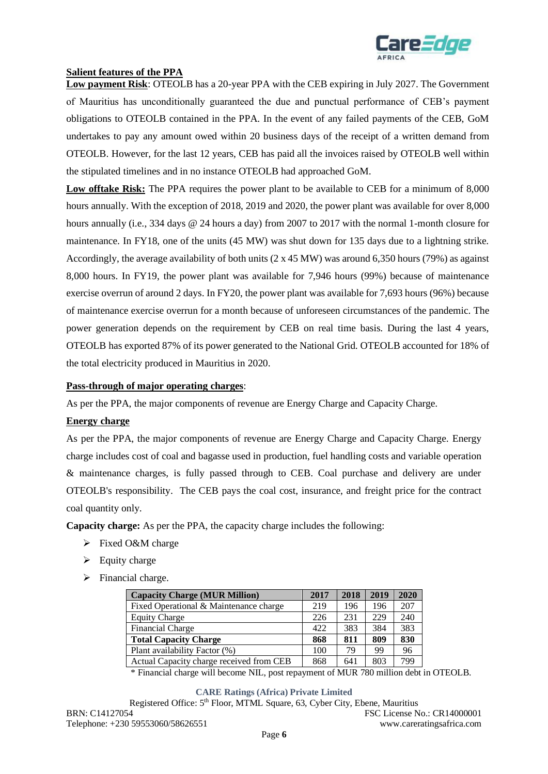

## **Salient features of the PPA**

**Low payment Risk**: OTEOLB has a 20-year PPA with the CEB expiring in July 2027. The Government of Mauritius has unconditionally guaranteed the due and punctual performance of CEB's payment obligations to OTEOLB contained in the PPA. In the event of any failed payments of the CEB, GoM undertakes to pay any amount owed within 20 business days of the receipt of a written demand from OTEOLB. However, for the last 12 years, CEB has paid all the invoices raised by OTEOLB well within the stipulated timelines and in no instance OTEOLB had approached GoM.

**Low offtake Risk:** The PPA requires the power plant to be available to CEB for a minimum of 8,000 hours annually. With the exception of 2018, 2019 and 2020, the power plant was available for over 8,000 hours annually (i.e., 334 days @ 24 hours a day) from 2007 to 2017 with the normal 1-month closure for maintenance. In FY18, one of the units (45 MW) was shut down for 135 days due to a lightning strike. Accordingly, the average availability of both units (2 x 45 MW) was around 6,350 hours (79%) as against 8,000 hours. In FY19, the power plant was available for 7,946 hours (99%) because of maintenance exercise overrun of around 2 days. In FY20, the power plant was available for 7,693 hours (96%) because of maintenance exercise overrun for a month because of unforeseen circumstances of the pandemic. The power generation depends on the requirement by CEB on real time basis. During the last 4 years, OTEOLB has exported 87% of its power generated to the National Grid. OTEOLB accounted for 18% of the total electricity produced in Mauritius in 2020.

#### **Pass-through of major operating charges**:

As per the PPA, the major components of revenue are Energy Charge and Capacity Charge.

#### **Energy charge**

As per the PPA, the major components of revenue are Energy Charge and Capacity Charge. Energy charge includes cost of coal and bagasse used in production, fuel handling costs and variable operation & maintenance charges, is fully passed through to CEB. Coal purchase and delivery are under OTEOLB's responsibility. The CEB pays the coal cost, insurance, and freight price for the contract coal quantity only.

**Capacity charge:** As per the PPA, the capacity charge includes the following:

- ➢ Fixed O&M charge
- $\triangleright$  Equity charge
- ➢ Financial charge.

| <b>Capacity Charge (MUR Million)</b>     | 2017 | 2018 | 2019 | 2020 |
|------------------------------------------|------|------|------|------|
| Fixed Operational & Maintenance charge   | 219  | 196  | 196  | 207  |
| <b>Equity Charge</b>                     | 226  | 231  | 229  | 240  |
| Financial Charge                         | 422  | 383  | 384  | 383  |
| <b>Total Capacity Charge</b>             | 868  | 811  | 809  | 830  |
| Plant availability Factor (%)            | 100  | 79   | 99   | 96   |
| Actual Capacity charge received from CEB | 868  | 641  | 803  | 799  |

\* Financial charge will become NIL, post repayment of MUR 780 million debt in OTEOLB.

**CARE Ratings (Africa) Private Limited**

Registered Office: 5<sup>th</sup> Floor, MTML Square, 63, Cyber City, Ebene, Mauritius BRN: C14127054 FSC License No.: CR14000001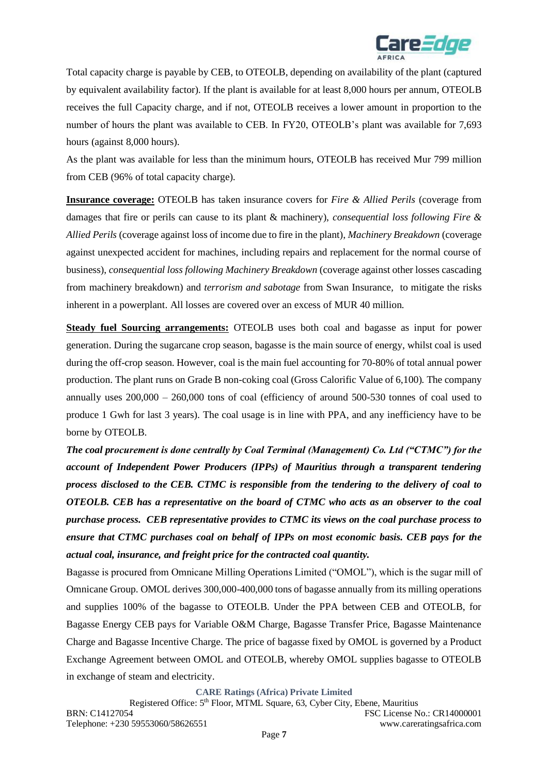

Total capacity charge is payable by CEB, to OTEOLB, depending on availability of the plant (captured by equivalent availability factor). If the plant is available for at least 8,000 hours per annum, OTEOLB receives the full Capacity charge, and if not, OTEOLB receives a lower amount in proportion to the number of hours the plant was available to CEB. In FY20, OTEOLB's plant was available for 7,693 hours (against 8,000 hours).

As the plant was available for less than the minimum hours, OTEOLB has received Mur 799 million from CEB (96% of total capacity charge).

**Insurance coverage:** OTEOLB has taken insurance covers for *Fire & Allied Perils* (coverage from damages that fire or perils can cause to its plant & machinery), *consequential loss following Fire & Allied Perils* (coverage against loss of income due to fire in the plant), *Machinery Breakdown* (coverage against unexpected accident for machines, including repairs and replacement for the normal course of business), *consequential loss following Machinery Breakdown* (coverage against other losses cascading from machinery breakdown) and *terrorism and sabotage* from Swan Insurance*,* to mitigate the risks inherent in a powerplant. All losses are covered over an excess of MUR 40 million.

**Steady fuel Sourcing arrangements:** OTEOLB uses both coal and bagasse as input for power generation. During the sugarcane crop season, bagasse is the main source of energy, whilst coal is used during the off-crop season. However, coal is the main fuel accounting for 70-80% of total annual power production. The plant runs on Grade B non-coking coal (Gross Calorific Value of 6,100). The company annually uses  $200,000 - 260,000$  tons of coal (efficiency of around 500-530 tonnes of coal used to produce 1 Gwh for last 3 years). The coal usage is in line with PPA, and any inefficiency have to be borne by OTEOLB.

*The coal procurement is done centrally by Coal Terminal (Management) Co. Ltd ("CTMC") for the account of Independent Power Producers (IPPs) of Mauritius through a transparent tendering process disclosed to the CEB. CTMC is responsible from the tendering to the delivery of coal to OTEOLB. CEB has a representative on the board of CTMC who acts as an observer to the coal purchase process. CEB representative provides to CTMC its views on the coal purchase process to ensure that CTMC purchases coal on behalf of IPPs on most economic basis. CEB pays for the actual coal, insurance, and freight price for the contracted coal quantity.* 

Bagasse is procured from Omnicane Milling Operations Limited ("OMOL"), which is the sugar mill of Omnicane Group. OMOL derives 300,000-400,000 tons of bagasse annually from its milling operations and supplies 100% of the bagasse to OTEOLB. Under the PPA between CEB and OTEOLB, for Bagasse Energy CEB pays for Variable O&M Charge, Bagasse Transfer Price, Bagasse Maintenance Charge and Bagasse Incentive Charge. The price of bagasse fixed by OMOL is governed by a Product Exchange Agreement between OMOL and OTEOLB, whereby OMOL supplies bagasse to OTEOLB in exchange of steam and electricity.

**CARE Ratings (Africa) Private Limited**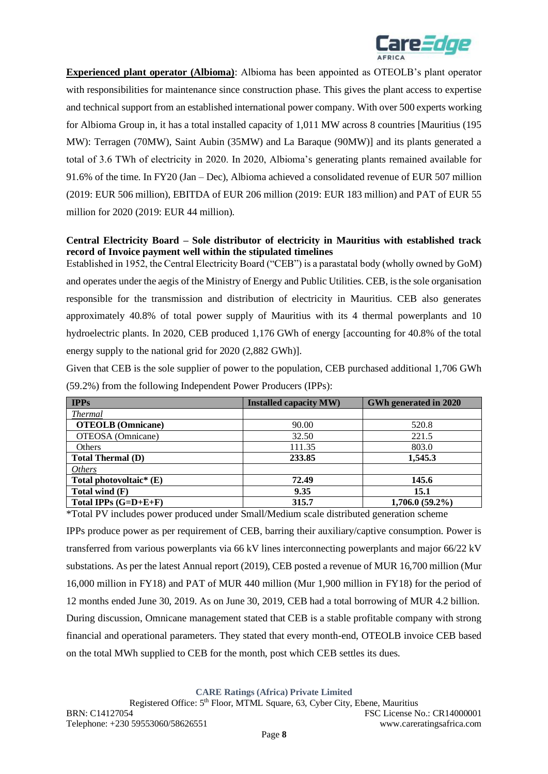

**Experienced plant operator (Albioma)**: Albioma has been appointed as OTEOLB's plant operator with responsibilities for maintenance since construction phase. This gives the plant access to expertise and technical support from an established international power company. With over 500 experts working for Albioma Group in, it has a total installed capacity of 1,011 MW across 8 countries [Mauritius (195 MW): Terragen (70MW), Saint Aubin (35MW) and La Baraque (90MW)] and its plants generated a total of 3.6 TWh of electricity in 2020. In 2020, Albioma's generating plants remained available for 91.6% of the time. In FY20 (Jan – Dec), Albioma achieved a consolidated revenue of EUR 507 million (2019: EUR 506 million), EBITDA of EUR 206 million (2019: EUR 183 million) and PAT of EUR 55 million for 2020 (2019: EUR 44 million).

## **Central Electricity Board – Sole distributor of electricity in Mauritius with established track record of Invoice payment well within the stipulated timelines**

Established in 1952, the Central Electricity Board ("CEB") is a parastatal body (wholly owned by GoM) and operates under the aegis of the Ministry of Energy and Public Utilities. CEB, is the sole organisation responsible for the transmission and distribution of electricity in Mauritius. CEB also generates approximately 40.8% of total power supply of Mauritius with its 4 thermal powerplants and 10 hydroelectric plants. In 2020, CEB produced 1,176 GWh of energy [accounting for 40.8% of the total energy supply to the national grid for 2020 (2,882 GWh)].

Given that CEB is the sole supplier of power to the population, CEB purchased additional 1,706 GWh (59.2%) from the following Independent Power Producers (IPPs):

| <b>IPPs</b>               | <b>Installed capacity MW)</b> | GWh generated in 2020 |
|---------------------------|-------------------------------|-----------------------|
| <b>Thermal</b>            |                               |                       |
| <b>OTEOLB</b> (Omnicane)  | 90.00                         | 520.8                 |
| OTEOSA (Omnicane)         | 32.50                         | 221.5                 |
| Others                    | 111.35                        | 803.0                 |
| <b>Total Thermal (D)</b>  | 233.85                        | 1,545.3               |
| <i>Others</i>             |                               |                       |
| Total photovoltaic* $(E)$ | 72.49                         | 145.6                 |
| Total wind $(F)$          | 9.35                          | 15.1                  |
| Total IPPs $(G=D+E+F)$    | 315.7                         | $1,706.0(59.2\%)$     |

\*Total PV includes power produced under Small/Medium scale distributed generation scheme

IPPs produce power as per requirement of CEB, barring their auxiliary/captive consumption. Power is transferred from various powerplants via 66 kV lines interconnecting powerplants and major 66/22 kV substations. As per the latest Annual report (2019), CEB posted a revenue of MUR 16,700 million (Mur 16,000 million in FY18) and PAT of MUR 440 million (Mur 1,900 million in FY18) for the period of 12 months ended June 30, 2019. As on June 30, 2019, CEB had a total borrowing of MUR 4.2 billion. During discussion, Omnicane management stated that CEB is a stable profitable company with strong financial and operational parameters. They stated that every month-end, OTEOLB invoice CEB based on the total MWh supplied to CEB for the month, post which CEB settles its dues.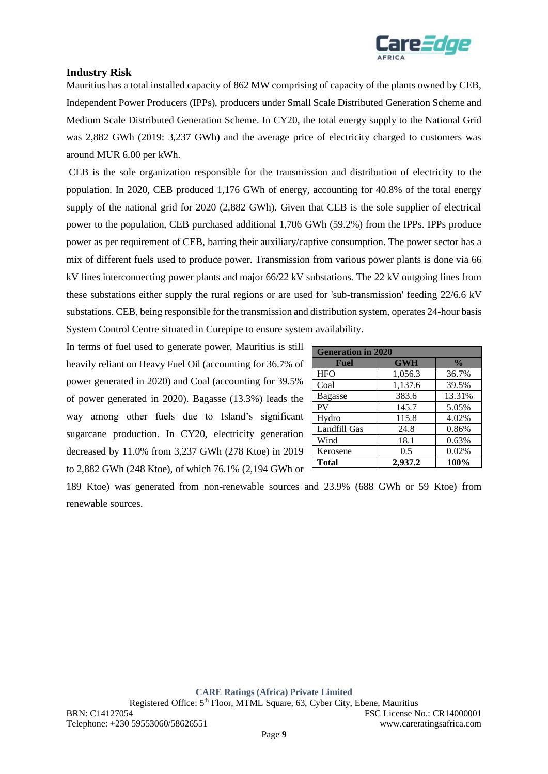

# **Industry Risk**

Mauritius has a total installed capacity of 862 MW comprising of capacity of the plants owned by CEB, Independent Power Producers (IPPs), producers under Small Scale Distributed Generation Scheme and Medium Scale Distributed Generation Scheme. In CY20, the total energy supply to the National Grid was 2,882 GWh (2019: 3,237 GWh) and the average price of electricity charged to customers was around MUR 6.00 per kWh.

CEB is the sole organization responsible for the transmission and distribution of electricity to the population. In 2020, CEB produced 1,176 GWh of energy, accounting for 40.8% of the total energy supply of the national grid for 2020 (2,882 GWh). Given that CEB is the sole supplier of electrical power to the population, CEB purchased additional 1,706 GWh (59.2%) from the IPPs. IPPs produce power as per requirement of CEB, barring their auxiliary/captive consumption. The power sector has a mix of different fuels used to produce power. Transmission from various power plants is done via 66 kV lines interconnecting power plants and major 66/22 kV substations. The 22 kV outgoing lines from these substations either supply the rural regions or are used for 'sub-transmission' feeding 22/6.6 kV substations. CEB, being responsible for the transmission and distribution system, operates 24-hour basis System Control Centre situated in Curepipe to ensure system availability.

In terms of fuel used to generate power, Mauritius is still heavily reliant on Heavy Fuel Oil (accounting for 36.7% of power generated in 2020) and Coal (accounting for 39.5% of power generated in 2020). Bagasse (13.3%) leads the way among other fuels due to Island's significant sugarcane production. In CY20, electricity generation decreased by 11.0% from 3,237 GWh (278 Ktoe) in 2019 to 2,882 GWh (248 Ktoe), of which 76.1% (2,194 GWh or

| <b>Generation in 2020</b> |            |               |  |  |  |
|---------------------------|------------|---------------|--|--|--|
| <b>Fuel</b>               | <b>GWH</b> | $\frac{0}{0}$ |  |  |  |
| <b>HFO</b>                | 1,056.3    | 36.7%         |  |  |  |
| Coal                      | 1,137.6    | 39.5%         |  |  |  |
| <b>Bagasse</b>            | 383.6      | 13.31%        |  |  |  |
| <b>PV</b>                 | 145.7      | 5.05%         |  |  |  |
| Hydro                     | 115.8      | 4.02%         |  |  |  |
| Landfill Gas              | 24.8       | 0.86%         |  |  |  |
| Wind                      | 18.1       | 0.63%         |  |  |  |
| Kerosene                  | 0.5        | 0.02%         |  |  |  |
| <b>Total</b>              | 2,937.2    | 100%          |  |  |  |

189 Ktoe) was generated from non-renewable sources and 23.9% (688 GWh or 59 Ktoe) from renewable sources.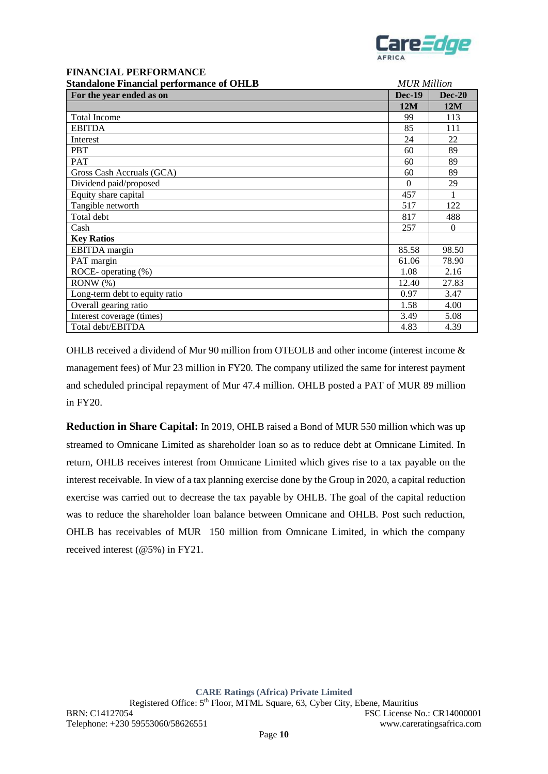

#### **FINANCIAL PERFORMANCE Standalone Financial performance of OHLB** *MUR Million*

| Standarone Financial performance of Officio | MUN MIIIION   |          |  |  |
|---------------------------------------------|---------------|----------|--|--|
| For the year ended as on                    | <b>Dec-19</b> | $Dec-20$ |  |  |
|                                             | 12M           | 12M      |  |  |
| <b>Total Income</b>                         | 99            | 113      |  |  |
| <b>EBITDA</b>                               | 85            | 111      |  |  |
| Interest                                    | 24            | 22       |  |  |
| <b>PBT</b>                                  | 60            | 89       |  |  |
| <b>PAT</b>                                  | 60            | 89       |  |  |
| Gross Cash Accruals (GCA)                   | 60            | 89       |  |  |
| Dividend paid/proposed                      | $\Omega$      | 29       |  |  |
| Equity share capital                        | 457           |          |  |  |
| Tangible networth                           | 517           | 122      |  |  |
| Total debt                                  | 817           | 488      |  |  |
| Cash                                        | 257           | $\Omega$ |  |  |
| <b>Key Ratios</b>                           |               |          |  |  |
| EBITDA margin                               | 85.58         | 98.50    |  |  |
| PAT margin                                  | 61.06         | 78.90    |  |  |
| ROCE-operating $(\%)$                       | 1.08          | 2.16     |  |  |
| RONW(%)                                     | 12.40         | 27.83    |  |  |
| Long-term debt to equity ratio              | 0.97          | 3.47     |  |  |
| Overall gearing ratio                       | 1.58          | 4.00     |  |  |
| Interest coverage (times)                   | 3.49          | 5.08     |  |  |
| Total debt/EBITDA                           | 4.83          | 4.39     |  |  |

OHLB received a dividend of Mur 90 million from OTEOLB and other income (interest income & management fees) of Mur 23 million in FY20. The company utilized the same for interest payment and scheduled principal repayment of Mur 47.4 million. OHLB posted a PAT of MUR 89 million in FY20.

**Reduction in Share Capital:** In 2019, OHLB raised a Bond of MUR 550 million which was up streamed to Omnicane Limited as shareholder loan so as to reduce debt at Omnicane Limited. In return, OHLB receives interest from Omnicane Limited which gives rise to a tax payable on the interest receivable. In view of a tax planning exercise done by the Group in 2020, a capital reduction exercise was carried out to decrease the tax payable by OHLB. The goal of the capital reduction was to reduce the shareholder loan balance between Omnicane and OHLB. Post such reduction, OHLB has receivables of MUR 150 million from Omnicane Limited, in which the company received interest (@5%) in FY21.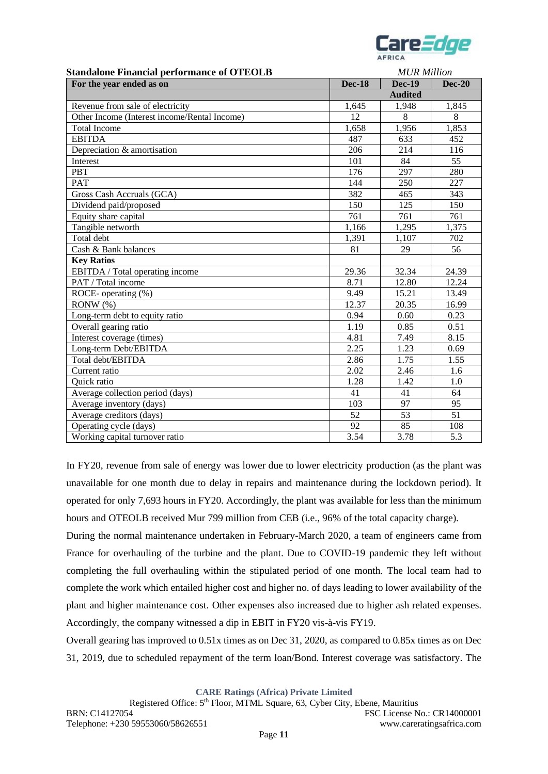

| <b>Standalone Financial performance of OTEOLB</b> |                | <b>MUR Million</b> |               |  |  |  |
|---------------------------------------------------|----------------|--------------------|---------------|--|--|--|
| For the year ended as on                          | <b>Dec-18</b>  | <b>Dec-19</b>      | <b>Dec-20</b> |  |  |  |
|                                                   | <b>Audited</b> |                    |               |  |  |  |
| Revenue from sale of electricity                  | 1,645          | 1,948              | 1,845         |  |  |  |
| Other Income (Interest income/Rental Income)      | 12             | 8                  | 8             |  |  |  |
| <b>Total Income</b>                               | 1,658          | 1,956              | 1,853         |  |  |  |
| <b>EBITDA</b>                                     | 487            | 633                | 452           |  |  |  |
| Depreciation & amortisation                       | 206            | 214                | 116           |  |  |  |
| Interest                                          | 101            | 84                 | 55            |  |  |  |
| <b>PBT</b>                                        | 176            | 297                | 280           |  |  |  |
| <b>PAT</b>                                        | 144            | 250                | 227           |  |  |  |
| Gross Cash Accruals (GCA)                         | 382            | 465                | 343           |  |  |  |
| Dividend paid/proposed                            | 150            | 125                | 150           |  |  |  |
| Equity share capital                              | 761            | 761                | 761           |  |  |  |
| Tangible networth                                 | 1,166          | 1,295              | 1,375         |  |  |  |
| Total debt                                        | 1,391          | 1,107              | 702           |  |  |  |
| Cash & Bank balances                              | 81             | 29                 | 56            |  |  |  |
| <b>Key Ratios</b>                                 |                |                    |               |  |  |  |
| EBITDA / Total operating income                   | 29.36          | 32.34              | 24.39         |  |  |  |
| PAT / Total income                                | 8.71           | 12.80              | 12.24         |  |  |  |
| ROCE-operating (%)                                | 9.49           | 15.21              | 13.49         |  |  |  |
| $RONW$ $%$                                        | 12.37          | 20.35              | 16.99         |  |  |  |
| Long-term debt to equity ratio                    | 0.94           | 0.60               | 0.23          |  |  |  |
| Overall gearing ratio                             | 1.19           | 0.85               | 0.51          |  |  |  |
| Interest coverage (times)                         | 4.81           | 7.49               | 8.15          |  |  |  |
| Long-term Debt/EBITDA                             | 2.25           | 1.23               | 0.69          |  |  |  |
| Total debt/EBITDA                                 | 2.86           | 1.75               | 1.55          |  |  |  |
| Current ratio                                     | 2.02           | 2.46               | 1.6           |  |  |  |
| Quick ratio                                       | 1.28           | 1.42               | 1.0           |  |  |  |
| Average collection period (days)                  | 41             | 41                 | 64            |  |  |  |
| Average inventory (days)                          | 103            | 97                 | 95            |  |  |  |
| Average creditors (days)                          | 52             | 53                 | 51            |  |  |  |
| Operating cycle (days)                            | 92             | 85                 | 108           |  |  |  |
| Working capital turnover ratio                    | 3.54           | 3.78               | 5.3           |  |  |  |

In FY20, revenue from sale of energy was lower due to lower electricity production (as the plant was unavailable for one month due to delay in repairs and maintenance during the lockdown period). It operated for only 7,693 hours in FY20. Accordingly, the plant was available for less than the minimum hours and OTEOLB received Mur 799 million from CEB (i.e., 96% of the total capacity charge).

During the normal maintenance undertaken in February-March 2020, a team of engineers came from France for overhauling of the turbine and the plant. Due to COVID-19 pandemic they left without completing the full overhauling within the stipulated period of one month. The local team had to complete the work which entailed higher cost and higher no. of days leading to lower availability of the plant and higher maintenance cost. Other expenses also increased due to higher ash related expenses. Accordingly, the company witnessed a dip in EBIT in FY20 vis-à-vis FY19.

Overall gearing has improved to 0.51x times as on Dec 31, 2020, as compared to 0.85x times as on Dec 31, 2019, due to scheduled repayment of the term loan/Bond. Interest coverage was satisfactory. The

**CARE Ratings (Africa) Private Limited**